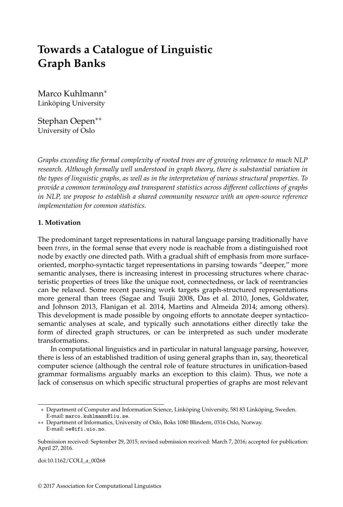# **Towards a Catalogue of Linguistic Graph Banks**

Marco Kuhlmann<sup>∗</sup> Linköping University

Stephan Oepen∗∗ University of Oslo

*Graphs exceeding the formal complexity of rooted trees are of growing relevance to much NLP research. Although formally well understood in graph theory, there is substantial variation in the types of linguistic graphs, as well as in the interpretation of various structural properties. To provide a common terminology and transparent statistics across different collections of graphs in NLP, we propose to establish a shared community resource with an open-source reference implementation for common statistics.*

#### **1. Motivation**

The predominant target representations in natural language parsing traditionally have been *trees*, in the formal sense that every node is reachable from a distinguished root node by exactly one directed path. With a gradual shift of emphasis from more surfaceoriented, morpho-syntactic target representations in parsing towards "deeper," more semantic analyses, there is increasing interest in processing structures where characteristic properties of trees like the unique root, connectedness, or lack of reentrancies can be relaxed. Some recent parsing work targets graph-structured representations more general than trees (Sagae and Tsujii 2008, Das et al. 2010, Jones, Goldwater, and Johnson 2013, Flanigan et al. 2014, Martins and Almeida 2014; among others). This development is made possible by ongoing efforts to annotate deeper syntacticosemantic analyses at scale, and typically such annotations either directly take the form of directed graph structures, or can be interpreted as such under moderate transformations.

In computational linguistics and in particular in natural language parsing, however, there is less of an established tradition of using general graphs than in, say, theoretical computer science (although the central role of feature structures in unification-based grammar formalisms arguably marks an exception to this claim). Thus, we note a lack of consensus on which specific structural properties of graphs are most relevant

doi:10.1162/COLI\_a\_00268

<sup>∗</sup> Department of Computer and Information Science, Linköping University, 581 83 Linköping, Sweden. E-mail: marco.kuhlmann@liu.se.

<sup>∗∗</sup> Department of Informatics, University of Oslo, Boks 1080 Blindern, 0316 Oslo, Norway. E-mail: oe@ifi.uio.no.

Submission received: September 29, 2015; revised submission received: March 7, 2016; accepted for publication: April 27, 2016.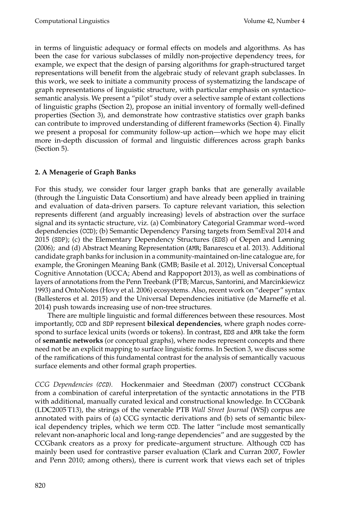in terms of linguistic adequacy or formal effects on models and algorithms. As has been the case for various subclasses of mildly non-projective dependency trees, for example, we expect that the design of parsing algorithms for graph-structured target representations will benefit from the algebraic study of relevant graph subclasses. In this work, we seek to initiate a community process of systematizing the landscape of graph representations of linguistic structure, with particular emphasis on syntacticosemantic analysis. We present a "pilot" study over a selective sample of extant collections of linguistic graphs (Section 2), propose an initial inventory of formally well-defined properties (Section 3), and demonstrate how contrastive statistics over graph banks can contribute to improved understanding of different frameworks (Section 4). Finally we present a proposal for community follow-up action—which we hope may elicit more in-depth discussion of formal and linguistic differences across graph banks (Section 5).

## **2. A Menagerie of Graph Banks**

For this study, we consider four larger graph banks that are generally available (through the Linguistic Data Consortium) and have already been applied in training and evaluation of data-driven parsers. To capture relevant variation, this selection represents different (and arguably increasing) levels of abstraction over the surface signal and its syntactic structure, viz. (a) Combinatory Categorial Grammar word–word dependencies (CCD); (b) Semantic Dependency Parsing targets from SemEval 2014 and 2015 (SDP); (c) the Elementary Dependency Structures (EDS) of Oepen and Lønning (2006); and (d) Abstract Meaning Representation (AMR; Banarescu et al. 2013). Additional candidate graph banks for inclusion in a community-maintained on-line catalogue are, for example, the Groningen Meaning Bank (GMB; Basile et al. 2012), Universal Conceptual Cognitive Annotation (UCCA; Abend and Rappoport 2013), as well as combinations of layers of annotations from the Penn Treebank (PTB; Marcus, Santorini, and Marcinkiewicz 1993) and OntoNotes (Hovy et al. 2006) ecosystems. Also, recent work on "deeper" syntax (Ballesteros et al. 2015) and the Universal Dependencies initiative (de Marneffe et al. 2014) push towards increasing use of non-tree structures.

There are multiple linguistic and formal differences between these resources. Most importantly, CCD and SDP represent **bilexical dependencies**, where graph nodes correspond to surface lexical units (words or tokens). In contrast, EDS and AMR take the form of **semantic networks** (or conceptual graphs), where nodes represent concepts and there need not be an explicit mapping to surface linguistic forms. In Section 3, we discuss some of the ramifications of this fundamental contrast for the analysis of semantically vacuous surface elements and other formal graph properties.

*CCG Dependencies (*CCD*).* Hockenmaier and Steedman (2007) construct CCGbank from a combination of careful interpretation of the syntactic annotations in the PTB with additional, manually curated lexical and constructional knowledge. In CCGbank (LDC2005 T13), the strings of the venerable PTB *Wall Street Journal* (WSJ) corpus are annotated with pairs of (a) CCG syntactic derivations and (b) sets of semantic bilexical dependency triples, which we term CCD. The latter "include most semantically relevant non-anaphoric local and long-range dependencies" and are suggested by the CCGbank creators as a proxy for predicate–argument structure. Although CCD has mainly been used for contrastive parser evaluation (Clark and Curran 2007, Fowler and Penn 2010; among others), there is current work that views each set of triples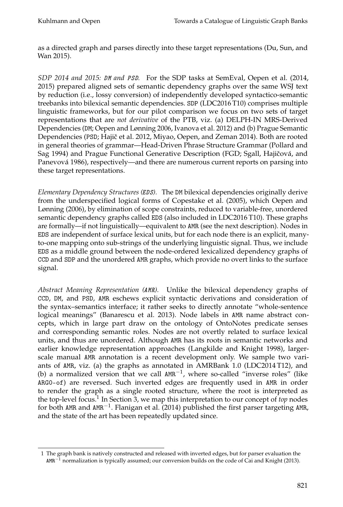as a directed graph and parses directly into these target representations (Du, Sun, and Wan 2015).

*SDP 2014 and 2015:* DM *and* PSD*.* For the SDP tasks at SemEval, Oepen et al. (2014, 2015) prepared aligned sets of semantic dependency graphs over the same WSJ text by reduction (i.e., lossy conversion) of independently developed syntactico-semantic treebanks into bilexical semantic dependencies. SDP (LDC2016 T10) comprises multiple linguistic frameworks, but for our pilot comparison we focus on two sets of target representations that are *not derivative* of the PTB, viz. (a) DELPH-IN MRS-Derived Dependencies (DM; Oepen and Lønning 2006, Ivanova et al. 2012) and (b) Prague Semantic Dependencies (PSD; Hajič et al. 2012, Miyao, Oepen, and Zeman 2014). Both are rooted in general theories of grammar—Head-Driven Phrase Structure Grammar (Pollard and Sag 1994) and Prague Functional Generative Description (FGD; Sgall, Hajičová, and Panevová 1986), respectively—and there are numerous current reports on parsing into these target representations.

*Elementary Dependency Structures (*EDS*).* The DM bilexical dependencies originally derive from the underspecified logical forms of Copestake et al. (2005), which Oepen and Lønning (2006), by elimination of scope constraints, reduced to variable-free, unordered semantic dependency graphs called EDS (also included in LDC2016 T10). These graphs are formally—if not linguistically—equivalent to AMR (see the next description). Nodes in EDS are independent of surface lexical units, but for each node there is an explicit, manyto-one mapping onto sub-strings of the underlying linguistic signal. Thus, we include EDS as a middle ground between the node-ordered lexicalized dependency graphs of CCD and SDP and the unordered AMR graphs, which provide no overt links to the surface signal.

*Abstract Meaning Representation (*AMR*).* Unlike the bilexical dependency graphs of CCD, DM, and PSD, AMR eschews explicit syntactic derivations and consideration of the syntax–semantics interface; it rather seeks to directly annotate "whole-sentence logical meanings" (Banarescu et al. 2013). Node labels in AMR name abstract concepts, which in large part draw on the ontology of OntoNotes predicate senses and corresponding semantic roles. Nodes are not overtly related to surface lexical units, and thus are unordered. Although AMR has its roots in semantic networks and earlier knowledge representation approaches (Langkilde and Knight 1998), largerscale manual AMR annotation is a recent development only. We sample two variants of AMR, viz. (a) the graphs as annotated in AMRBank 1.0 (LDC2014 T12), and (b) a normalized version that we call AMR−<sup>1</sup> , where so-called "inverse roles" (like ARG0-of) are reversed. Such inverted edges are frequently used in AMR in order to render the graph as a single rooted structure, where the root is interpreted as the top-level focus.<sup>1</sup> In Section 3, we map this interpretation to our concept of *top* nodes for both AMR and AMR<sup>-1</sup>. Flanigan et al. (2014) published the first parser targeting AMR, and the state of the art has been repeatedly updated since.

<sup>1</sup> The graph bank is natively constructed and released with inverted edges, but for parser evaluation the  $AMR^{-1}$  normalization is typically assumed; our conversion builds on the code of Cai and Knight (2013).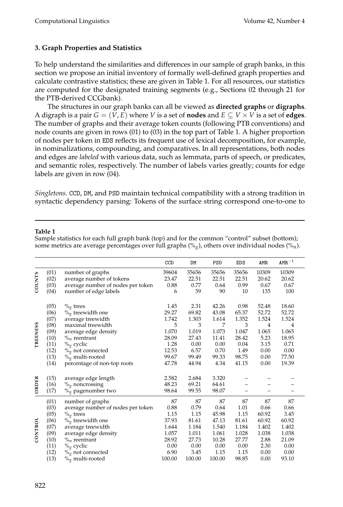## **3. Graph Properties and Statistics**

To help understand the similarities and differences in our sample of graph banks, in this section we propose an initial inventory of formally well-defined graph properties and calculate contrastive statistics; these are given in Table 1. For all resources, our statistics are computed for the designated training segments (e.g., Sections 02 through 21 for the PTB-derived CCGbank).

The structures in our graph banks can all be viewed as **directed graphs** or **digraphs**. A digraph is a pair  $G = (V, E)$  where *V* is a set of **nodes** and  $E \subseteq V \times V$  is a set of **edges**. The number of graphs and their average token counts (following PTB conventions) and node counts are given in rows (01) to (03) in the top part of Table 1. A higher proportion of nodes per token in EDS reflects its frequent use of lexical decomposition, for example, in nominalizations, compounding, and comparatives. In all representations, both nodes and edges are *labeled* with various data, such as lemmata, parts of speech, or predicates, and semantic roles, respectively. The number of labels varies greatly; counts for edge labels are given in row (04).

*Singletons.* CCD, DM, and PSD maintain technical compatibility with a strong tradition in syntactic dependency parsing: Tokens of the surface string correspond one-to-one to

#### **Table 1**

Sample statistics for each full graph bank (top) and for the common "control" subset (bottom); some metrics are average percentages over full graphs (%*g*), others over individual nodes (%*n*).

|                 |      |                                   | CCD    | DM     | PSD    | EDS   | AMR            | $\mathtt{AMR}^{-1}$ |
|-----------------|------|-----------------------------------|--------|--------|--------|-------|----------------|---------------------|
| <b>COUNTS</b>   | (01) | number of graphs                  | 39604  | 35656  | 35656  | 35656 | 10309          | 10309               |
|                 | (02) | average number of tokens          | 23.47  | 22.51  | 22.51  | 22.51 | 20.62          | 20.62               |
|                 | (03) | average number of nodes per token | 0.88   | 0.77   | 0.64   | 0.99  | 0.67           | 0.67                |
|                 | (04) | number of edge labels             | 6      | 59     | 90     | 10    | 135            | 100                 |
| <b>TREENESS</b> | (05) | $\%$ <sub>g</sub> trees           | 1.45   | 2.31   | 42.26  | 0.98  | 52.48          | 18.60               |
|                 | (06) | $\%$ <sub>g</sub> treewidth one   | 29.27  | 69.82  | 43.08  | 65.37 | 52.72          | 52.72               |
|                 | (07) | average treewidth                 | 1.742  | 1.303  | 1.614  | 1.352 | 1.524          | 1.524               |
|                 | (08) | maximal treewidth                 | 5      | 3      | 7      | 3     | $\overline{4}$ | $\overline{4}$      |
|                 | (09) | average edge density              | 1.070  | 1.019  | 1.073  | 1.047 | 1.065          | 1.065               |
|                 | (10) | $\%$ <sub>n</sub> reentrant       | 28.09  | 27.43  | 11.41  | 28.42 | 5.23           | 18.95               |
|                 | (11) | $\%$ <sub>g</sub> cyclic          | 1.28   | 0.00   | 0.00   | 0.04  | 3.15           | 0.71                |
|                 | (12) | $\%$ <sub>g</sub> not connected   | 12.53  | 6.57   | 0.70   | 1.49  | 0.00           | 0.00                |
|                 | (13) | $\%$ <sub>g</sub> multi-rooted    | 99.67  | 99.49  | 99.33  | 98.75 | 0.00           | 77.50               |
|                 | (14) | percentage of non-top roots       | 47.78  | 44.94  | 4.34   | 41.15 | 0.00           | 19.39               |
| ORDER           | (15) | average edge length               | 2.582  | 2.684  | 3.320  |       |                |                     |
|                 | (16) | $\%$ <sub>g</sub> noncrossing     | 48.23  | 69.21  | 64.61  |       |                |                     |
|                 | (17) | $\%$ <sub>g</sub> pagenumber two  | 98.64  | 99.55  | 98.07  |       |                |                     |
| CONTROL         | (01) | number of graphs                  | 87     | 87     | 87     | 87    | 87             | 87                  |
|                 | (03) | average number of nodes per token | 0.88   | 0.79   | 0.64   | 1.01  | 0.66           | 0.66                |
|                 | (05) | $\%$ <sub>g</sub> trees           | 1.15   | 1.15   | 45.98  | 1.15  | 60.92          | 3.45                |
|                 | (06) | $\%$ <sub>g</sub> treewidth one   | 37.93  | 81.61  | 47.13  | 81.61 | 60.92          | 60.92               |
|                 | (07) | average treewidth                 | 1.644  | 1.184  | 1.540  | 1.184 | 1.402          | 1.402               |
|                 | (09) | average edge density              | 1.057  | 1.011  | 1.061  | 1.028 | 1.038          | 1.038               |
|                 | (10) | $\%$ <sub>n</sub> reentrant       | 28.92  | 27.73  | 10.28  | 27.77 | 2.88           | 21.09               |
|                 | (11) | $\%$ <sub>g</sub> cyclic          | 0.00   | 0.00   | 0.00   | 0.00  | 2.30           | 0.00                |
|                 | (12) | $\%$ <sub>g</sub> not connected   | 6.90   | 3.45   | 1.15   | 1.15  | 0.00           | 0.00                |
|                 | (13) | $\%$ <sub>o</sub> multi-rooted    | 100.00 | 100.00 | 100.00 | 98.85 | 0.00           | 93.10               |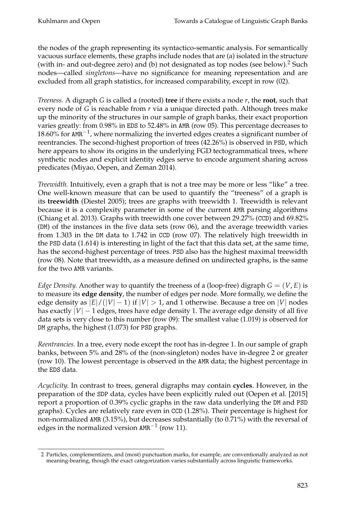the nodes of the graph representing its syntactico-semantic analysis. For semantically vacuous surface elements, these graphs include nodes that are (a) isolated in the structure (with in- and out-degree zero) and (b) not designated as top nodes (see below).<sup>2</sup> Such nodes—called *singletons*—have no significance for meaning representation and are excluded from all graph statistics, for increased comparability, except in row (02).

*Treeness.* A digraph *G* is called a (rooted) **tree** if there exists a node *r*, the **root**, such that every node of *G* is reachable from *r* via a unique directed path. Although trees make up the minority of the structures in our sample of graph banks, their exact proportion varies greatly: from 0.98% in EDS to 52.48% in AMR (row 05). This percentage decreases to 18.60% for AMR<sup>-1</sup>, where normalizing the inverted edges creates a significant number of reentrancies. The second-highest proportion of trees (42.26%) is observed in PSD, which here appears to show its origins in the underlying FGD tectogrammatical trees, where synthetic nodes and explicit identity edges serve to encode argument sharing across predicates (Miyao, Oepen, and Zeman 2014).

*Treewidth.* Intuitively, even a graph that is not a tree may be more or less "like" a tree. One well-known measure that can be used to quantify the "treeness" of a graph is its **treewidth** (Diestel 2005); trees are graphs with treewidth 1. Treewidth is relevant because it is a complexity parameter in some of the current AMR parsing algorithms (Chiang et al. 2013). Graphs with treewidth one cover between 29.27% (CCD) and 69.82% (DM) of the instances in the five data sets (row 06), and the average treewidth varies from 1.303 in the DM data to 1.742 in CCD (row 07). The relatively high treewidth in the PSD data (1.614) is interesting in light of the fact that this data set, at the same time, has the second-highest percentage of trees. PSD also has the highest maximal treewidth (row 08). Note that treewidth, as a measure defined on undirected graphs, is the same for the two AMR variants.

*Edge Density.* Another way to quantify the treeness of a (loop-free) digraph  $G = (V, E)$  is to measure its **edge density**, the number of edges per node. More formally, we define the edge density as  $|E|/(|V|-1)$  if  $|V| > 1$ , and 1 otherwise. Because a tree on  $|V|$  nodes has exactly  $|V| - 1$  edges, trees have edge density 1. The average edge density of all five data sets is very close to this number (row 09): The smallest value (1.019) is observed for DM graphs, the highest (1.073) for PSD graphs.

*Reentrancies.* In a tree, every node except the root has in-degree 1. In our sample of graph banks, between 5% and 28% of the (non-singleton) nodes have in-degree 2 or greater (row 10). The lowest percentage is observed in the AMR data; the highest percentage in the EDS data.

*Acyclicity.* In contrast to trees, general digraphs may contain **cycles**. However, in the preparation of the SDP data, cycles have been explicitly ruled out (Oepen et al. [2015] report a proportion of 0.39% cyclic graphs in the raw data underlying the DM and PSD graphs). Cycles are relatively rare even in CCD (1.28%). Their percentage is highest for non-normalized AMR (3.15%), but decreases substantially (to 0.71%) with the reversal of edges in the normalized version <code>AMR<sup> $-1$ </sup> (row 11).</code>

<sup>2</sup> Particles, complementizers, and (most) punctuation marks, for example, are conventionally analyzed as not meaning-bearing, though the exact categorization varies substantially across linguistic frameworks.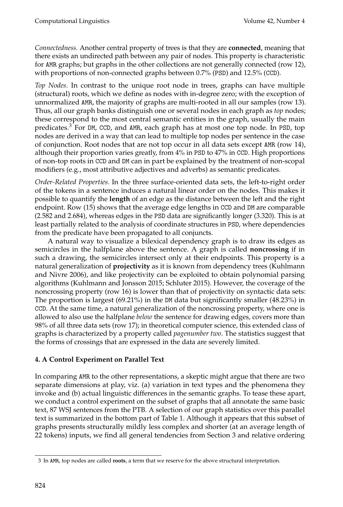*Connectedness.* Another central property of trees is that they are **connected**, meaning that there exists an undirected path between any pair of nodes. This property is characteristic for AMR graphs; but graphs in the other collections are not generally connected (row 12), with proportions of non-connected graphs between 0.7% (PSD) and 12.5% (CCD).

*Top Nodes.* In contrast to the unique root node in trees, graphs can have multiple (structural) roots, which we define as nodes with in-degree zero; with the exception of unnormalized AMR, the majority of graphs are multi-rooted in all our samples (row 13). Thus, all our graph banks distinguish one or several nodes in each graph as *top* nodes; these correspond to the most central semantic entities in the graph, usually the main predicates.<sup>3</sup> For DM, CCD, and AMR, each graph has at most one top node. In PSD, top nodes are derived in a way that can lead to multiple top nodes per sentence in the case of conjunction. Root nodes that are not top occur in all data sets except AMR (row 14), although their proportion varies greatly, from 4% in PSD to 47% in CCD. High proportions of non-top roots in CCD and DM can in part be explained by the treatment of non-scopal modifiers (e.g., most attributive adjectives and adverbs) as semantic predicates.

*Order-Related Properties.* In the three surface-oriented data sets, the left-to-right order of the tokens in a sentence induces a natural linear order on the nodes. This makes it possible to quantify the **length** of an edge as the distance between the left and the right endpoint. Row (15) shows that the average edge lengths in CCD and DM are comparable (2.582 and 2.684), whereas edges in the PSD data are significantly longer (3.320). This is at least partially related to the analysis of coordinate structures in PSD, where dependencies from the predicate have been propagated to all conjuncts.

A natural way to visualize a bilexical dependency graph is to draw its edges as semicircles in the halfplane above the sentence. A graph is called **noncrossing** if in such a drawing, the semicircles intersect only at their endpoints. This property is a natural generalization of **projectivity** as it is known from dependency trees (Kuhlmann and Nivre 2006), and like projectivity can be exploited to obtain polynomial parsing algorithms (Kuhlmann and Jonsson 2015; Schluter 2015). However, the coverage of the noncrossing property (row 16) is lower than that of projectivity on syntactic data sets: The proportion is largest (69.21%) in the DM data but significantly smaller (48.23%) in CCD. At the same time, a natural generalization of the noncrossing property, where one is allowed to also use the halfplane *below* the sentence for drawing edges, covers more than 98% of all three data sets (row 17); in theoretical computer science, this extended class of graphs is characterized by a property called *pagenumber two*. The statistics suggest that the forms of crossings that are expressed in the data are severely limited.

## **4. A Control Experiment on Parallel Text**

In comparing AMR to the other representations, a skeptic might argue that there are two separate dimensions at play, viz. (a) variation in text types and the phenomena they invoke and (b) actual linguistic differences in the semantic graphs. To tease these apart, we conduct a control experiment on the subset of graphs that all annotate the same basic text, 87 WSJ sentences from the PTB. A selection of our graph statistics over this parallel text is summarized in the bottom part of Table 1. Although it appears that this subset of graphs presents structurally mildly less complex and shorter (at an average length of 22 tokens) inputs, we find all general tendencies from Section 3 and relative ordering

<sup>3</sup> In AMR, top nodes are called **roots**, a term that we reserve for the above structural interpretation.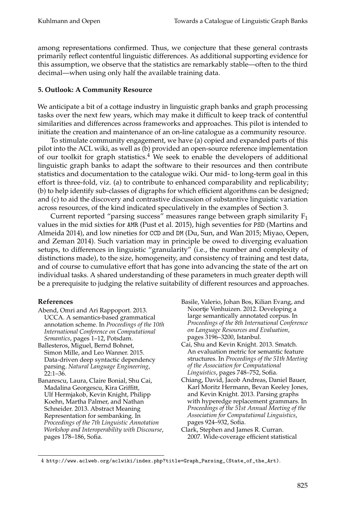among representations confirmed. Thus, we conjecture that these general contrasts primarily reflect contentful linguistic differences. As additional supporting evidence for this assumption, we observe that the statistics are remarkably stable—often to the third decimal—when using only half the available training data.

### **5. Outlook: A Community Resource**

We anticipate a bit of a cottage industry in linguistic graph banks and graph processing tasks over the next few years, which may make it difficult to keep track of contentful similarities and differences across frameworks and approaches. This pilot is intended to initiate the creation and maintenance of an on-line catalogue as a community resource.

To stimulate community engagement, we have (a) copied and expanded parts of this pilot into the ACL wiki, as well as (b) provided an open-source reference implementation of our toolkit for graph statistics. $4$  We seek to enable the developers of additional linguistic graph banks to adapt the software to their resources and then contribute statistics and documentation to the catalogue wiki. Our mid- to long-term goal in this effort is three-fold, viz. (a) to contribute to enhanced comparability and replicability; (b) to help identify sub-classes of digraphs for which efficient algorithms can be designed; and (c) to aid the discovery and contrastive discussion of substantive linguistic variation across resources, of the kind indicated speculatively in the examples of Section 3.

Current reported "parsing success" measures range between graph similarity  $F_1$ values in the mid sixties for AMR (Pust et al. 2015), high seventies for PSD (Martins and Almeida 2014), and low nineties for CCD and DM (Du, Sun, and Wan 2015; Miyao, Oepen, and Zeman 2014). Such variation may in principle be owed to diverging evaluation setups, to differences in linguistic "granularity" (i.e., the number and complexity of distinctions made), to the size, homogeneity, and consistency of training and test data, and of course to cumulative effort that has gone into advancing the state of the art on individual tasks. A shared understanding of these parameters in much greater depth will be a prerequisite to judging the relative suitability of different resources and approaches.

## **References**

- Abend, Omri and Ari Rappoport. 2013. UCCA. A semantics-based grammatical annotation scheme. In *Proceedings of the 10th International Conference on Computational Semantics*, pages 1–12, Potsdam.
- Ballesteros, Miguel, Bernd Bohnet, Simon Mille, and Leo Wanner. 2015. Data-driven deep syntactic dependency parsing. *Natural Language Engineering*, 22:1–36.
- Banarescu, Laura, Claire Bonial, Shu Cai, Madalina Georgescu, Kira Griffitt, Ulf Hermjakob, Kevin Knight, Philipp Koehn, Martha Palmer, and Nathan Schneider. 2013. Abstract Meaning Representation for sembanking. In *Proceedings of the 7th Linguistic Annotation Workshop and Interoperability with Discourse*, pages 178–186, Sofia.
- Basile, Valerio, Johan Bos, Kilian Evang, and Noortje Venhuizen. 2012. Developing a large semantically annotated corpus. In *Proceedings of the 8th International Conference on Language Resources and Evaluation*, pages 3196–3200, Istanbul.
- Cai, Shu and Kevin Knight. 2013. Smatch. An evaluation metric for semantic feature structures. In *Proceedings of the 51th Meeting of the Association for Computational Linguistics*, pages 748–752, Sofia.
- Chiang, David, Jacob Andreas, Daniel Bauer, Karl Moritz Hermann, Bevan Keeley Jones, and Kevin Knight. 2013. Parsing graphs with hyperedge replacement grammars. In *Proceedings of the 51st Annual Meeting of the Association for Computational Linguistics*, pages 924–932, Sofia.
- Clark, Stephen and James R. Curran. 2007. Wide-coverage efficient statistical

<sup>4</sup> http://www.aclweb.org/aclwiki/index.php?title=Graph\_Parsing\_(State\_of\_the\_Art).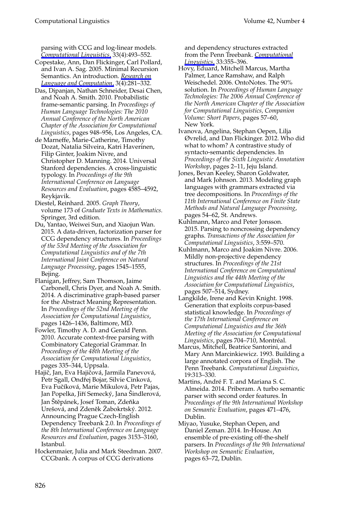parsing with CCG and log-linear models. *[Computational Linguistics](http://www.mitpressjournals.org/action/showLinks?system=10.1162%2Fcoli.2007.33.4.493)*, 33(4):493–552.

- Copestake, Ann, Dan Flickinger, Carl Pollard, and Ivan A. Sag. 2005. Minimal Recursion Semantics. An introduction. *[Research on](http://www.mitpressjournals.org/action/showLinks?crossref=10.1007%2Fs11168-006-6327-9) [Language and Computation](http://www.mitpressjournals.org/action/showLinks?crossref=10.1007%2Fs11168-006-6327-9)*, 3(4):281–332.
- Das, Dipanjan, Nathan Schneider, Desai Chen, and Noah A. Smith. 2010. Probabilistic frame-semantic parsing. In *Proceedings of Human Language Technologies: The 2010 Annual Conference of the North American Chapter of the Association for Computational Linguistics*, pages 948–956, Los Angeles, CA.
- de Marneffe, Marie-Catherine, Timothy Dozat, Natalia Silveira, Katri Haverinen, Filip Ginter, Joakim Nivre, and Christopher D. Manning. 2014. Universal Stanford dependencies. A cross-linguistic typology. In *Proceedings of the 9th International Conference on Language Resources and Evaluation*, pages 4585–4592, Reykjavik.
- Diestel, Reinhard. 2005. *Graph Theory*, volume 173 of *Graduate Texts in Mathematics*. Springer, 3rd edition.
- Du, Yantao, Weiwei Sun, and Xiaojun Wan. 2015. A data-driven, factorization parser for CCG dependency structures. In *Proceedings of the 53rd Meeting of the Association for Computational Linguistics and of the 7th International Joint Conference on Natural Language Processing*, pages 1545–1555, Bejing.
- Flanigan, Jeffrey, Sam Thomson, Jaime Carbonell, Chris Dyer, and Noah A. Smith. 2014. A discriminative graph-based parser for the Abstract Meaning Representation. In *Proceedings of the 52nd Meeting of the Association for Computational Linguistics*, pages 1426–1436, Baltimore, MD.
- Fowler, Timothy A. D. and Gerald Penn. 2010. Accurate context-free parsing with Combinatory Categorial Grammar. In *Proceedings of the 48th Meeting of the Association for Computational Linguistics*, pages 335–344, Uppsala.
- Hajič, Jan, Eva Hajičová, Jarmila Panevová, Petr Sgall, Ondřej Bojar, Silvie Cinková, Eva Fuˇcíková, Marie Mikulová, Petr Pajas, Jan Popelka, Jiří Semecký, Jana Šindlerová, Jan Štěpánek, Josef Toman, Zdeňka Urešová, and Zdeněk Žabokrtský. 2012. Announcing Prague Czech-English Dependency Treebank 2.0. In *Proceedings of the 8th International Conference on Language Resources and Evaluation*, pages 3153–3160, Istanbul.
- Hockenmaier, Julia and Mark Steedman. 2007. CCGbank. A corpus of CCG derivations

and dependency structures extracted from the Penn Treebank. *[Computational](http://www.mitpressjournals.org/action/showLinks?system=10.1162%2Fcoli.2007.33.3.355) [Linguistics](http://www.mitpressjournals.org/action/showLinks?system=10.1162%2Fcoli.2007.33.3.355)*, 33:355–396.

- Hovy, Eduard, Mitchell Marcus, Martha Palmer, Lance Ramshaw, and Ralph Weischedel. 2006. OntoNotes. The 90% solution. In *Proceedings of Human Language Technologies: The 2006 Annual Conference of the North American Chapter of the Association for Computational Linguistics, Companion Volume: Short Papers*, pages 57–60, New York.
- Ivanova, Angelina, Stephan Oepen, Lilja Øvrelid, and Dan Flickinger. 2012. Who did what to whom? A contrastive study of syntacto-semantic dependencies. In *Proceedings of the Sixth Linguistic Annotation Workshop*, pages 2–11, Jeju Island.
- Jones, Bevan Keeley, Sharon Goldwater, and Mark Johnson. 2013. Modeling graph languages with grammars extracted via tree decompositions. In *Proceedings of the 11th International Conference on Finite State Methods and Natural Language Processing*, pages 54–62, St. Andrews.
- Kuhlmann, Marco and Peter Jonsson. 2015. Parsing to noncrossing dependency graphs. *Transactions of the Association for Computational Linguistics*, 3:559–570.
- Kuhlmann, Marco and Joakim Nivre. 2006. Mildly non-projective dependency structures. In *Proceedings of the 21st International Conference on Computational Linguistics and the 44th Meeting of the Association for Computational Linguistics*, pages 507–514, Sydney.
- Langkilde, Irene and Kevin Knight. 1998. Generation that exploits corpus-based statistical knowledge. In *Proceedings of the 17th International Conference on Computational Linguistics and the 36th Meeting of the Association for Computational Linguistics*, pages 704–710, Montréal.
- Marcus, Mitchell, Beatrice Santorini, and Mary Ann Marcinkiewicz. 1993. Building a large annotated corpora of English. The Penn Treebank. *Computational Linguistics*, 19:313–330.
- Martins, André F. T. and Mariana S. C. Almeida. 2014. Priberam. A turbo semantic parser with second order features. In *Proceedings of the 9th International Workshop on Semantic Evaluation*, pages 471–476, Dublin.
- Miyao, Yusuke, Stephan Oepen, and Daniel Zeman. 2014. In-House. An ensemble of pre-existing off-the-shelf parsers. In *Proceedings of the 9th International Workshop on Semantic Evaluation*, pages 63–72, Dublin.